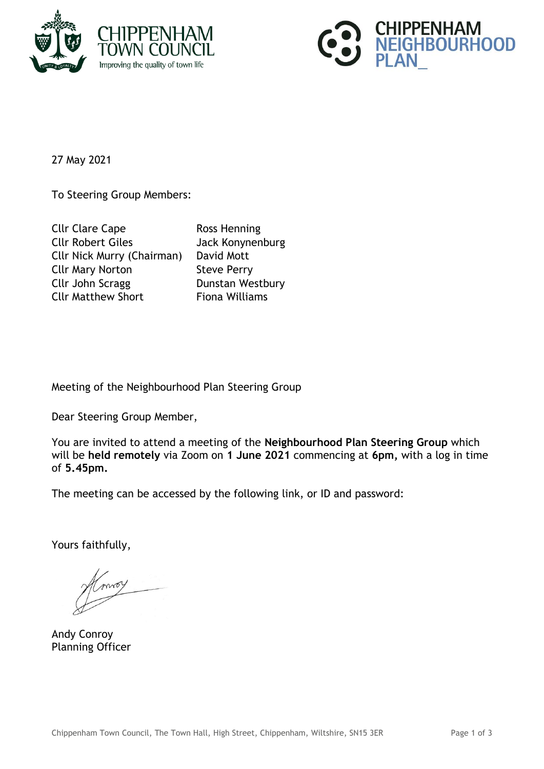



27 May 2021

To Steering Group Members:

| <b>Cllr Clare Cape</b>            | <b>Ross Henning</b>   |
|-----------------------------------|-----------------------|
| <b>Cllr Robert Giles</b>          | Jack Konynenburg      |
| <b>Cllr Nick Murry (Chairman)</b> | David Mott            |
| <b>Cllr Mary Norton</b>           | <b>Steve Perry</b>    |
| Cllr John Scragg                  | Dunstan Westbury      |
| <b>Cllr Matthew Short</b>         | <b>Fiona Williams</b> |

Meeting of the Neighbourhood Plan Steering Group

Dear Steering Group Member,

You are invited to attend a meeting of the **Neighbourhood Plan Steering Group** which will be **held remotely** via Zoom on **1 June 2021** commencing at **6pm,** with a log in time of **5.45pm.**

The meeting can be accessed by the following link, or ID and password:

Yours faithfully,

moy

Andy Conroy Planning Officer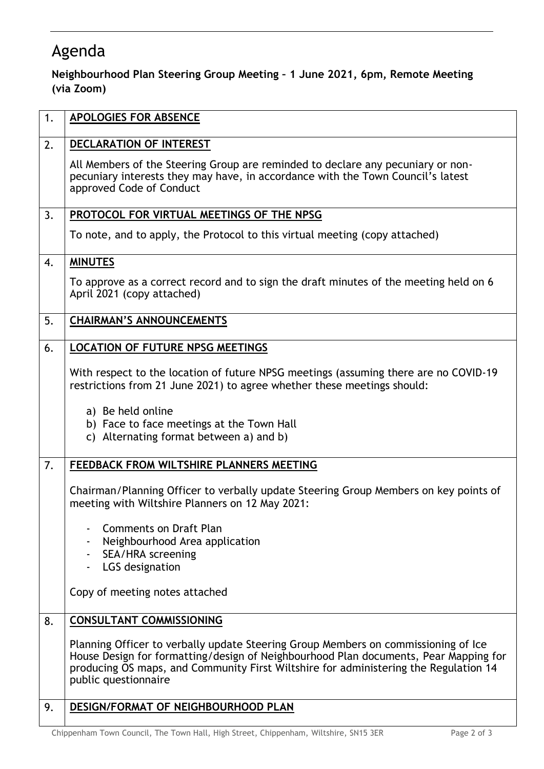## Agenda

## **Neighbourhood Plan Steering Group Meeting – 1 June 2021, 6pm, Remote Meeting (via Zoom)**

| 1. | <b>APOLOGIES FOR ABSENCE</b>                                                                                                                                                                                                                                                               |
|----|--------------------------------------------------------------------------------------------------------------------------------------------------------------------------------------------------------------------------------------------------------------------------------------------|
| 2. | DECLARATION OF INTEREST                                                                                                                                                                                                                                                                    |
|    | All Members of the Steering Group are reminded to declare any pecuniary or non-<br>pecuniary interests they may have, in accordance with the Town Council's latest<br>approved Code of Conduct                                                                                             |
| 3. | PROTOCOL FOR VIRTUAL MEETINGS OF THE NPSG                                                                                                                                                                                                                                                  |
|    | To note, and to apply, the Protocol to this virtual meeting (copy attached)                                                                                                                                                                                                                |
| 4. | <b>MINUTES</b>                                                                                                                                                                                                                                                                             |
|    | To approve as a correct record and to sign the draft minutes of the meeting held on 6<br>April 2021 (copy attached)                                                                                                                                                                        |
| 5. | <b>CHAIRMAN'S ANNOUNCEMENTS</b>                                                                                                                                                                                                                                                            |
| 6. | <b>LOCATION OF FUTURE NPSG MEETINGS</b>                                                                                                                                                                                                                                                    |
|    | With respect to the location of future NPSG meetings (assuming there are no COVID-19<br>restrictions from 21 June 2021) to agree whether these meetings should:                                                                                                                            |
|    | a) Be held online<br>b) Face to face meetings at the Town Hall<br>c) Alternating format between a) and b)                                                                                                                                                                                  |
| 7. | FEEDBACK FROM WILTSHIRE PLANNERS MEETING                                                                                                                                                                                                                                                   |
|    | Chairman/Planning Officer to verbally update Steering Group Members on key points of<br>meeting with Wiltshire Planners on 12 May 2021:                                                                                                                                                    |
|    | Comments on Draft Plan                                                                                                                                                                                                                                                                     |
|    | Neighbourhood Area application<br>SEA/HRA screening<br>$\blacksquare$                                                                                                                                                                                                                      |
|    | LGS designation                                                                                                                                                                                                                                                                            |
|    | Copy of meeting notes attached                                                                                                                                                                                                                                                             |
| 8. | <b>CONSULTANT COMMISSIONING</b>                                                                                                                                                                                                                                                            |
|    | Planning Officer to verbally update Steering Group Members on commissioning of Ice<br>House Design for formatting/design of Neighbourhood Plan documents, Pear Mapping for<br>producing OS maps, and Community First Wiltshire for administering the Regulation 14<br>public questionnaire |
| 9. | DESIGN/FORMAT OF NEIGHBOURHOOD PLAN                                                                                                                                                                                                                                                        |